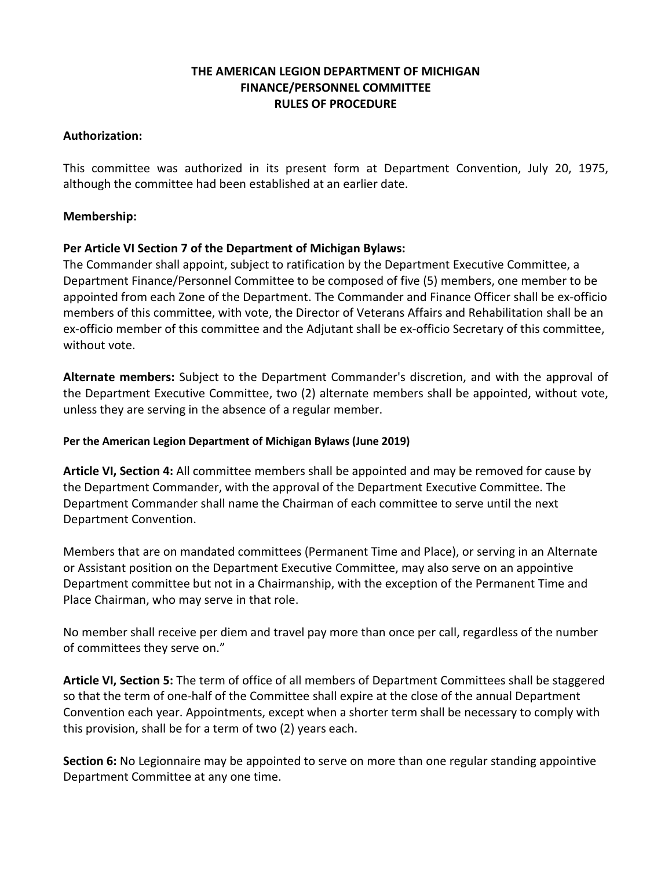# **THE AMERICAN LEGION DEPARTMENT OF MICHIGAN FINANCE/PERSONNEL COMMITTEE RULES OF PROCEDURE**

## **Authorization:**

This committee was authorized in its present form at Department Convention, July 20, 1975, although the committee had been established at an earlier date.

## **Membership:**

# **Per Article VI Section 7 of the Department of Michigan Bylaws:**

The Commander shall appoint, subject to ratification by the Department Executive Committee, a Department Finance/Personnel Committee to be composed of five (5) members, one member to be appointed from each Zone of the Department. The Commander and Finance Officer shall be ex-officio members of this committee, with vote, the Director of Veterans Affairs and Rehabilitation shall be an ex-officio member of this committee and the Adjutant shall be ex-officio Secretary of this committee, without vote.

**Alternate members:** Subject to the Department Commander's discretion, and with the approval of the Department Executive Committee, two (2) alternate members shall be appointed, without vote, unless they are serving in the absence of a regular member.

## **Per the American Legion Department of Michigan Bylaws (June 2019)**

**Article VI, Section 4:** All committee members shall be appointed and may be removed for cause by the Department Commander, with the approval of the Department Executive Committee. The Department Commander shall name the Chairman of each committee to serve until the next Department Convention.

Members that are on mandated committees (Permanent Time and Place), or serving in an Alternate or Assistant position on the Department Executive Committee, may also serve on an appointive Department committee but not in a Chairmanship, with the exception of the Permanent Time and Place Chairman, who may serve in that role.

No member shall receive per diem and travel pay more than once per call, regardless of the number of committees they serve on."

**Article VI, Section 5:** The term of office of all members of Department Committees shall be staggered so that the term of one-half of the Committee shall expire at the close of the annual Department Convention each year. Appointments, except when a shorter term shall be necessary to comply with this provision, shall be for a term of two (2) years each.

**Section 6:** No Legionnaire may be appointed to serve on more than one regular standing appointive Department Committee at any one time.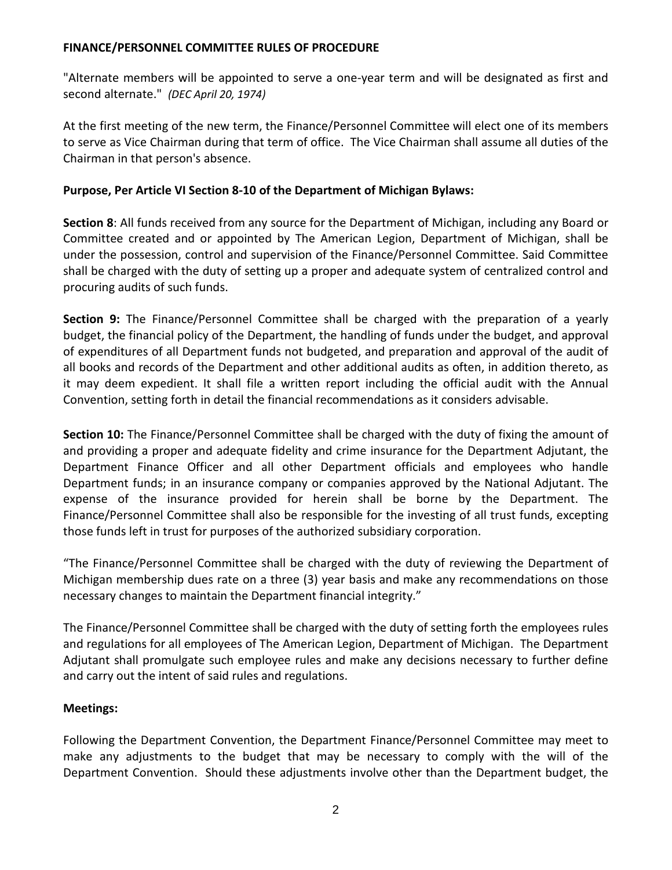"Alternate members will be appointed to serve a one-year term and will be designated as first and second alternate." *(DEC April 20, 1974)* 

At the first meeting of the new term, the Finance/Personnel Committee will elect one of its members to serve as Vice Chairman during that term of office. The Vice Chairman shall assume all duties of the Chairman in that person's absence.

## **Purpose, Per Article VI Section 8-10 of the Department of Michigan Bylaws:**

**Section 8**: All funds received from any source for the Department of Michigan, including any Board or Committee created and or appointed by The American Legion, Department of Michigan, shall be under the possession, control and supervision of the Finance/Personnel Committee. Said Committee shall be charged with the duty of setting up a proper and adequate system of centralized control and procuring audits of such funds.

**Section 9:** The Finance/Personnel Committee shall be charged with the preparation of a yearly budget, the financial policy of the Department, the handling of funds under the budget, and approval of expenditures of all Department funds not budgeted, and preparation and approval of the audit of all books and records of the Department and other additional audits as often, in addition thereto, as it may deem expedient. It shall file a written report including the official audit with the Annual Convention, setting forth in detail the financial recommendations as it considers advisable.

**Section 10:** The Finance/Personnel Committee shall be charged with the duty of fixing the amount of and providing a proper and adequate fidelity and crime insurance for the Department Adjutant, the Department Finance Officer and all other Department officials and employees who handle Department funds; in an insurance company or companies approved by the National Adjutant. The expense of the insurance provided for herein shall be borne by the Department. The Finance/Personnel Committee shall also be responsible for the investing of all trust funds, excepting those funds left in trust for purposes of the authorized subsidiary corporation.

"The Finance/Personnel Committee shall be charged with the duty of reviewing the Department of Michigan membership dues rate on a three (3) year basis and make any recommendations on those necessary changes to maintain the Department financial integrity."

The Finance/Personnel Committee shall be charged with the duty of setting forth the employees rules and regulations for all employees of The American Legion, Department of Michigan. The Department Adjutant shall promulgate such employee rules and make any decisions necessary to further define and carry out the intent of said rules and regulations.

# **Meetings:**

Following the Department Convention, the Department Finance/Personnel Committee may meet to make any adjustments to the budget that may be necessary to comply with the will of the Department Convention. Should these adjustments involve other than the Department budget, the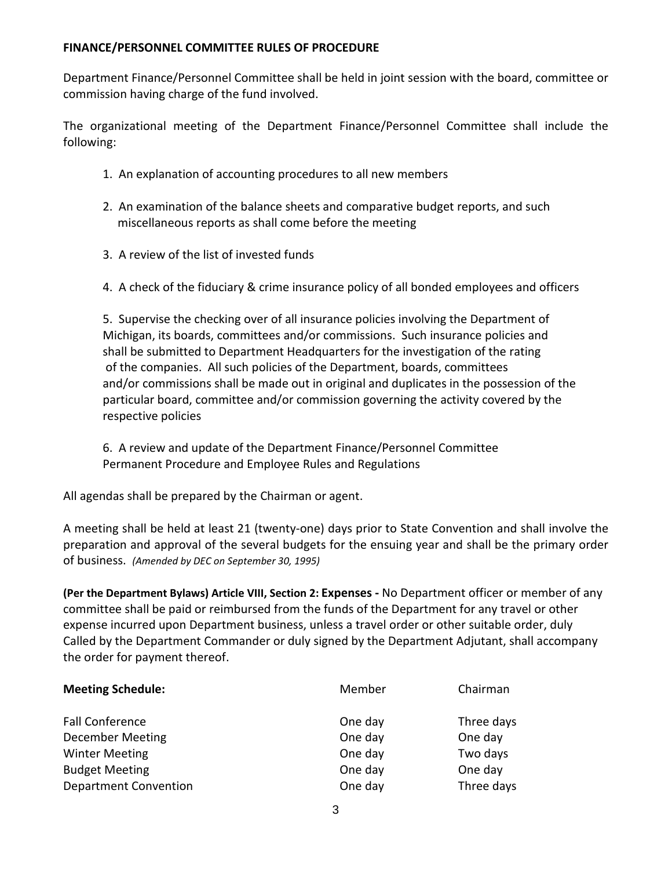Department Finance/Personnel Committee shall be held in joint session with the board, committee or commission having charge of the fund involved.

The organizational meeting of the Department Finance/Personnel Committee shall include the following:

- 1. An explanation of accounting procedures to all new members
- 2. An examination of the balance sheets and comparative budget reports, and such miscellaneous reports as shall come before the meeting
- 3. A review of the list of invested funds
- 4. A check of the fiduciary & crime insurance policy of all bonded employees and officers

5. Supervise the checking over of all insurance policies involving the Department of Michigan, its boards, committees and/or commissions. Such insurance policies and shall be submitted to Department Headquarters for the investigation of the rating of the companies. All such policies of the Department, boards, committees and/or commissions shall be made out in original and duplicates in the possession of the particular board, committee and/or commission governing the activity covered by the respective policies

6. A review and update of the Department Finance/Personnel Committee Permanent Procedure and Employee Rules and Regulations

All agendas shall be prepared by the Chairman or agent.

A meeting shall be held at least 21 (twenty-one) days prior to State Convention and shall involve the preparation and approval of the several budgets for the ensuing year and shall be the primary order of business. *(Amended by DEC on September 30, 1995)*

**(Per the Department Bylaws) Article VIII, Section 2: Expenses -** No Department officer or member of any committee shall be paid or reimbursed from the funds of the Department for any travel or other expense incurred upon Department business, unless a travel order or other suitable order, duly Called by the Department Commander or duly signed by the Department Adjutant, shall accompany the order for payment thereof.

| Member  | Chairman   |
|---------|------------|
| One day | Three days |
| One day | One day    |
| One day | Two days   |
| One day | One day    |
| One day | Three days |
|         |            |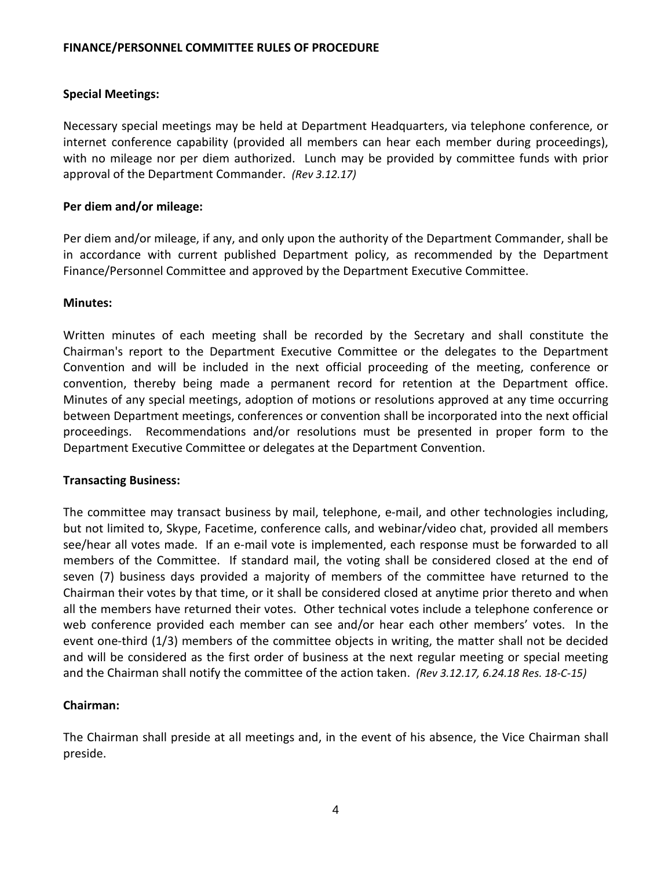## **Special Meetings:**

Necessary special meetings may be held at Department Headquarters, via telephone conference, or internet conference capability (provided all members can hear each member during proceedings), with no mileage nor per diem authorized. Lunch may be provided by committee funds with prior approval of the Department Commander. *(Rev 3.12.17)* 

### **Per diem and/or mileage:**

Per diem and/or mileage, if any, and only upon the authority of the Department Commander, shall be in accordance with current published Department policy, as recommended by the Department Finance/Personnel Committee and approved by the Department Executive Committee.

#### **Minutes:**

Written minutes of each meeting shall be recorded by the Secretary and shall constitute the Chairman's report to the Department Executive Committee or the delegates to the Department Convention and will be included in the next official proceeding of the meeting, conference or convention, thereby being made a permanent record for retention at the Department office. Minutes of any special meetings, adoption of motions or resolutions approved at any time occurring between Department meetings, conferences or convention shall be incorporated into the next official proceedings. Recommendations and/or resolutions must be presented in proper form to the Department Executive Committee or delegates at the Department Convention.

### **Transacting Business:**

The committee may transact business by mail, telephone, e-mail, and other technologies including, but not limited to, Skype, Facetime, conference calls, and webinar/video chat, provided all members see/hear all votes made. If an e-mail vote is implemented, each response must be forwarded to all members of the Committee. If standard mail, the voting shall be considered closed at the end of seven (7) business days provided a majority of members of the committee have returned to the Chairman their votes by that time, or it shall be considered closed at anytime prior thereto and when all the members have returned their votes. Other technical votes include a telephone conference or web conference provided each member can see and/or hear each other members' votes. In the event one-third (1/3) members of the committee objects in writing, the matter shall not be decided and will be considered as the first order of business at the next regular meeting or special meeting and the Chairman shall notify the committee of the action taken. *(Rev 3.12.17, 6.24.18 Res. 18-C-15)* 

### **Chairman:**

The Chairman shall preside at all meetings and, in the event of his absence, the Vice Chairman shall preside.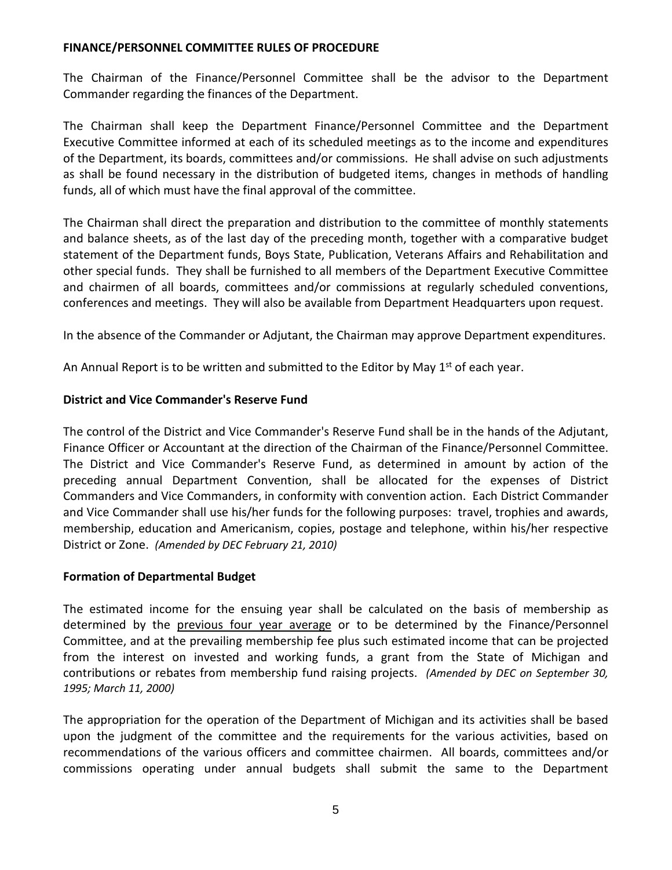The Chairman of the Finance/Personnel Committee shall be the advisor to the Department Commander regarding the finances of the Department.

The Chairman shall keep the Department Finance/Personnel Committee and the Department Executive Committee informed at each of its scheduled meetings as to the income and expenditures of the Department, its boards, committees and/or commissions. He shall advise on such adjustments as shall be found necessary in the distribution of budgeted items, changes in methods of handling funds, all of which must have the final approval of the committee.

The Chairman shall direct the preparation and distribution to the committee of monthly statements and balance sheets, as of the last day of the preceding month, together with a comparative budget statement of the Department funds, Boys State, Publication, Veterans Affairs and Rehabilitation and other special funds. They shall be furnished to all members of the Department Executive Committee and chairmen of all boards, committees and/or commissions at regularly scheduled conventions, conferences and meetings. They will also be available from Department Headquarters upon request.

In the absence of the Commander or Adjutant, the Chairman may approve Department expenditures.

An Annual Report is to be written and submitted to the Editor by May  $1<sup>st</sup>$  of each year.

# **District and Vice Commander's Reserve Fund**

The control of the District and Vice Commander's Reserve Fund shall be in the hands of the Adjutant, Finance Officer or Accountant at the direction of the Chairman of the Finance/Personnel Committee. The District and Vice Commander's Reserve Fund, as determined in amount by action of the preceding annual Department Convention, shall be allocated for the expenses of District Commanders and Vice Commanders, in conformity with convention action. Each District Commander and Vice Commander shall use his/her funds for the following purposes: travel, trophies and awards, membership, education and Americanism, copies, postage and telephone, within his/her respective District or Zone. *(Amended by DEC February 21, 2010)*

# **Formation of Departmental Budget**

The estimated income for the ensuing year shall be calculated on the basis of membership as determined by the previous four year average or to be determined by the Finance/Personnel Committee, and at the prevailing membership fee plus such estimated income that can be projected from the interest on invested and working funds, a grant from the State of Michigan and contributions or rebates from membership fund raising projects. *(Amended by DEC on September 30, 1995; March 11, 2000)*

The appropriation for the operation of the Department of Michigan and its activities shall be based upon the judgment of the committee and the requirements for the various activities, based on recommendations of the various officers and committee chairmen. All boards, committees and/or commissions operating under annual budgets shall submit the same to the Department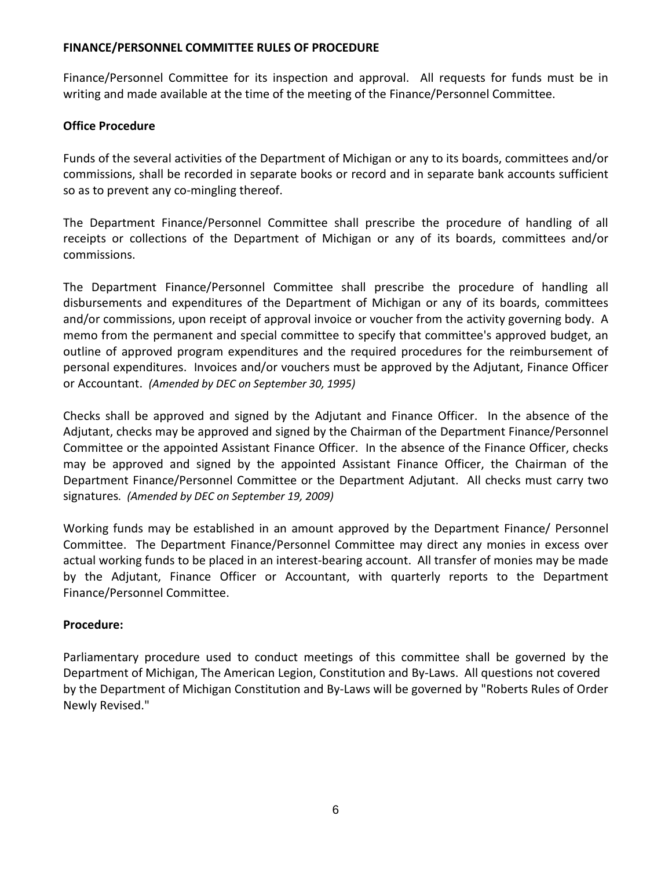Finance/Personnel Committee for its inspection and approval. All requests for funds must be in writing and made available at the time of the meeting of the Finance/Personnel Committee.

# **Office Procedure**

Funds of the several activities of the Department of Michigan or any to its boards, committees and/or commissions, shall be recorded in separate books or record and in separate bank accounts sufficient so as to prevent any co-mingling thereof.

The Department Finance/Personnel Committee shall prescribe the procedure of handling of all receipts or collections of the Department of Michigan or any of its boards, committees and/or commissions.

The Department Finance/Personnel Committee shall prescribe the procedure of handling all disbursements and expenditures of the Department of Michigan or any of its boards, committees and/or commissions, upon receipt of approval invoice or voucher from the activity governing body. A memo from the permanent and special committee to specify that committee's approved budget, an outline of approved program expenditures and the required procedures for the reimbursement of personal expenditures. Invoices and/or vouchers must be approved by the Adjutant, Finance Officer or Accountant. *(Amended by DEC on September 30, 1995)*

Checks shall be approved and signed by the Adjutant and Finance Officer. In the absence of the Adjutant, checks may be approved and signed by the Chairman of the Department Finance/Personnel Committee or the appointed Assistant Finance Officer. In the absence of the Finance Officer, checks may be approved and signed by the appointed Assistant Finance Officer, the Chairman of the Department Finance/Personnel Committee or the Department Adjutant. All checks must carry two signatures*. (Amended by DEC on September 19, 2009)*

Working funds may be established in an amount approved by the Department Finance/ Personnel Committee. The Department Finance/Personnel Committee may direct any monies in excess over actual working funds to be placed in an interest-bearing account. All transfer of monies may be made by the Adjutant, Finance Officer or Accountant, with quarterly reports to the Department Finance/Personnel Committee.

# **Procedure:**

Parliamentary procedure used to conduct meetings of this committee shall be governed by the Department of Michigan, The American Legion, Constitution and By-Laws. All questions not covered by the Department of Michigan Constitution and By-Laws will be governed by "Roberts Rules of Order Newly Revised."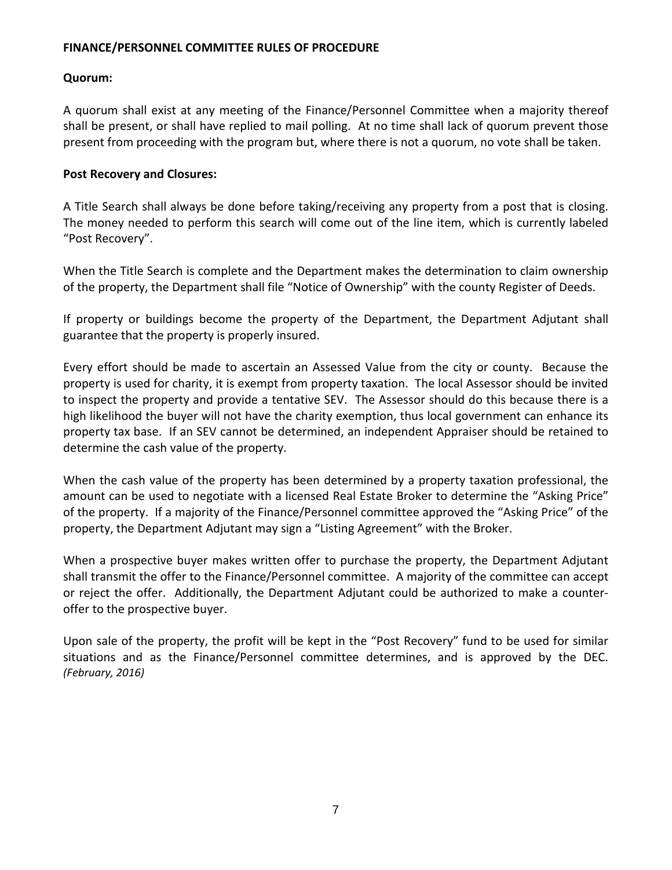## **Quorum:**

A quorum shall exist at any meeting of the Finance/Personnel Committee when a majority thereof shall be present, or shall have replied to mail polling. At no time shall lack of quorum prevent those present from proceeding with the program but, where there is not a quorum, no vote shall be taken.

## **Post Recovery and Closures:**

A Title Search shall always be done before taking/receiving any property from a post that is closing. The money needed to perform this search will come out of the line item, which is currently labeled "Post Recovery".

When the Title Search is complete and the Department makes the determination to claim ownership of the property, the Department shall file "Notice of Ownership" with the county Register of Deeds.

If property or buildings become the property of the Department, the Department Adjutant shall guarantee that the property is properly insured.

Every effort should be made to ascertain an Assessed Value from the city or county. Because the property is used for charity, it is exempt from property taxation. The local Assessor should be invited to inspect the property and provide a tentative SEV. The Assessor should do this because there is a high likelihood the buyer will not have the charity exemption, thus local government can enhance its property tax base. If an SEV cannot be determined, an independent Appraiser should be retained to determine the cash value of the property.

When the cash value of the property has been determined by a property taxation professional, the amount can be used to negotiate with a licensed Real Estate Broker to determine the "Asking Price" of the property. If a majority of the Finance/Personnel committee approved the "Asking Price" of the property, the Department Adjutant may sign a "Listing Agreement" with the Broker.

When a prospective buyer makes written offer to purchase the property, the Department Adjutant shall transmit the offer to the Finance/Personnel committee. A majority of the committee can accept or reject the offer. Additionally, the Department Adjutant could be authorized to make a counteroffer to the prospective buyer.

Upon sale of the property, the profit will be kept in the "Post Recovery" fund to be used for similar situations and as the Finance/Personnel committee determines, and is approved by the DEC. *(February, 2016)*